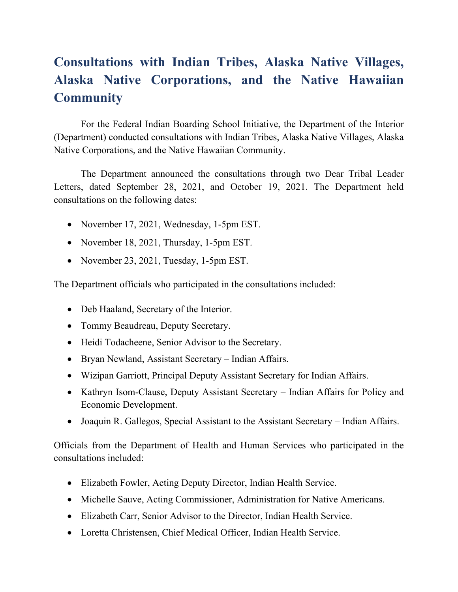# **Consultations with Indian Tribes, Alaska Native Villages, Alaska Native Corporations, and the Native Hawaiian Community**

For the Federal Indian Boarding School Initiative, the Department of the Interior (Department) conducted consultations with Indian Tribes, Alaska Native Villages, Alaska Native Corporations, and the Native Hawaiian Community.

The Department announced the consultations through two Dear Tribal Leader Letters, dated September 28, 2021, and October 19, 2021. The Department held consultations on the following dates:

- November 17, 2021, Wednesday, 1-5pm EST.
- November 18, 2021, Thursday, 1-5pm EST.
- November 23, 2021, Tuesday, 1-5pm EST.

The Department officials who participated in the consultations included:

- Deb Haaland, Secretary of the Interior.
- Tommy Beaudreau, Deputy Secretary.
- Heidi Todacheene, Senior Advisor to the Secretary.
- Bryan Newland, Assistant Secretary Indian Affairs.
- Wizipan Garriott, Principal Deputy Assistant Secretary for Indian Affairs.
- Kathryn Isom-Clause, Deputy Assistant Secretary Indian Affairs for Policy and Economic Development.
- Joaquin R. Gallegos, Special Assistant to the Assistant Secretary Indian Affairs.

Officials from the Department of Health and Human Services who participated in the consultations included:

- Elizabeth Fowler, Acting Deputy Director, Indian Health Service.
- Michelle Sauve, Acting Commissioner, Administration for Native Americans.
- Elizabeth Carr, Senior Advisor to the Director, Indian Health Service.
- Loretta Christensen, Chief Medical Officer, Indian Health Service.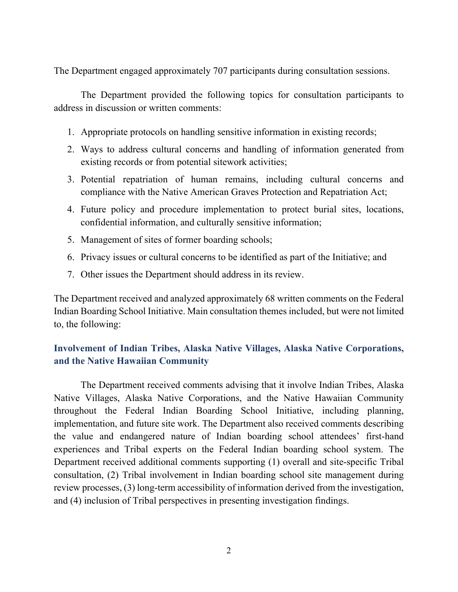The Department engaged approximately 707 participants during consultation sessions.

The Department provided the following topics for consultation participants to address in discussion or written comments:

- 1. Appropriate protocols on handling sensitive information in existing records;
- 2. Ways to address cultural concerns and handling of information generated from existing records or from potential sitework activities;
- 3. Potential repatriation of human remains, including cultural concerns and compliance with the Native American Graves Protection and Repatriation Act;
- 4. Future policy and procedure implementation to protect burial sites, locations, confidential information, and culturally sensitive information;
- 5. Management of sites of former boarding schools;
- 6. Privacy issues or cultural concerns to be identified as part of the Initiative; and
- 7. Other issues the Department should address in its review.

The Department received and analyzed approximately 68 written comments on the Federal Indian Boarding School Initiative. Main consultation themes included, but were not limited to, the following:

# **Involvement of Indian Tribes, Alaska Native Villages, Alaska Native Corporations, and the Native Hawaiian Community**

The Department received comments advising that it involve Indian Tribes, Alaska Native Villages, Alaska Native Corporations, and the Native Hawaiian Community throughout the Federal Indian Boarding School Initiative, including planning, implementation, and future site work. The Department also received comments describing the value and endangered nature of Indian boarding school attendees' first-hand experiences and Tribal experts on the Federal Indian boarding school system. The Department received additional comments supporting (1) overall and site-specific Tribal consultation, (2) Tribal involvement in Indian boarding school site management during review processes, (3) long-term accessibility of information derived from the investigation, and (4) inclusion of Tribal perspectives in presenting investigation findings.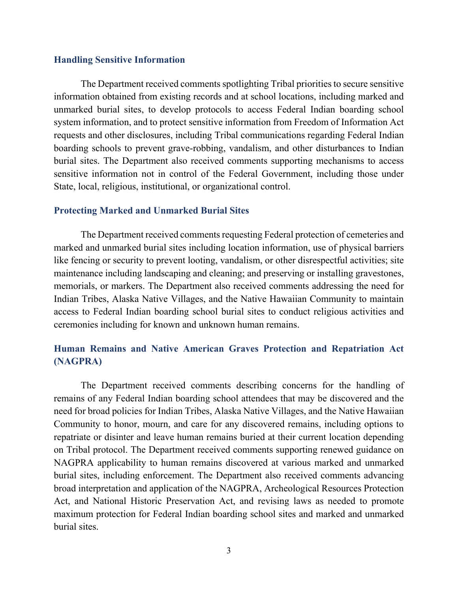#### **Handling Sensitive Information**

The Department received comments spotlighting Tribal priorities to secure sensitive information obtained from existing records and at school locations, including marked and unmarked burial sites, to develop protocols to access Federal Indian boarding school system information, and to protect sensitive information from Freedom of Information Act requests and other disclosures, including Tribal communications regarding Federal Indian boarding schools to prevent grave-robbing, vandalism, and other disturbances to Indian burial sites. The Department also received comments supporting mechanisms to access sensitive information not in control of the Federal Government, including those under State, local, religious, institutional, or organizational control.

#### **Protecting Marked and Unmarked Burial Sites**

The Department received comments requesting Federal protection of cemeteries and marked and unmarked burial sites including location information, use of physical barriers like fencing or security to prevent looting, vandalism, or other disrespectful activities; site maintenance including landscaping and cleaning; and preserving or installing gravestones, memorials, or markers. The Department also received comments addressing the need for Indian Tribes, Alaska Native Villages, and the Native Hawaiian Community to maintain access to Federal Indian boarding school burial sites to conduct religious activities and ceremonies including for known and unknown human remains.

## **Human Remains and Native American Graves Protection and Repatriation Act (NAGPRA)**

The Department received comments describing concerns for the handling of remains of any Federal Indian boarding school attendees that may be discovered and the need for broad policies for Indian Tribes, Alaska Native Villages, and the Native Hawaiian Community to honor, mourn, and care for any discovered remains, including options to repatriate or disinter and leave human remains buried at their current location depending on Tribal protocol. The Department received comments supporting renewed guidance on NAGPRA applicability to human remains discovered at various marked and unmarked burial sites, including enforcement. The Department also received comments advancing broad interpretation and application of the NAGPRA, Archeological Resources Protection Act, and National Historic Preservation Act, and revising laws as needed to promote maximum protection for Federal Indian boarding school sites and marked and unmarked burial sites.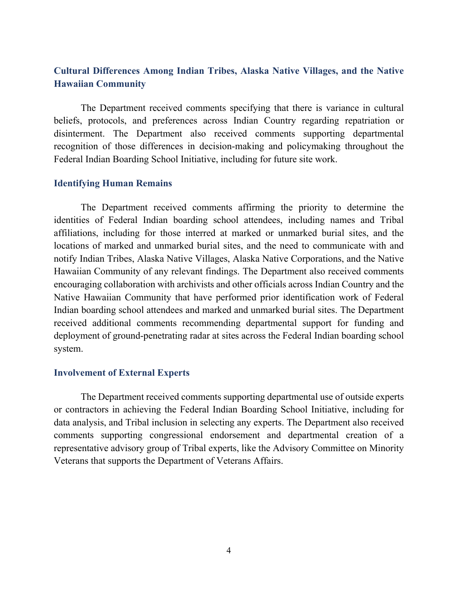## **Cultural Differences Among Indian Tribes, Alaska Native Villages, and the Native Hawaiian Community**

The Department received comments specifying that there is variance in cultural beliefs, protocols, and preferences across Indian Country regarding repatriation or disinterment. The Department also received comments supporting departmental recognition of those differences in decision-making and policymaking throughout the Federal Indian Boarding School Initiative, including for future site work.

#### **Identifying Human Remains**

The Department received comments affirming the priority to determine the identities of Federal Indian boarding school attendees, including names and Tribal affiliations, including for those interred at marked or unmarked burial sites, and the locations of marked and unmarked burial sites, and the need to communicate with and notify Indian Tribes, Alaska Native Villages, Alaska Native Corporations, and the Native Hawaiian Community of any relevant findings. The Department also received comments encouraging collaboration with archivists and other officials across Indian Country and the Native Hawaiian Community that have performed prior identification work of Federal Indian boarding school attendees and marked and unmarked burial sites. The Department received additional comments recommending departmental support for funding and deployment of ground-penetrating radar at sites across the Federal Indian boarding school system.

#### **Involvement of External Experts**

The Department received comments supporting departmental use of outside experts or contractors in achieving the Federal Indian Boarding School Initiative, including for data analysis, and Tribal inclusion in selecting any experts. The Department also received comments supporting congressional endorsement and departmental creation of a representative advisory group of Tribal experts, like the Advisory Committee on Minority Veterans that supports the Department of Veterans Affairs.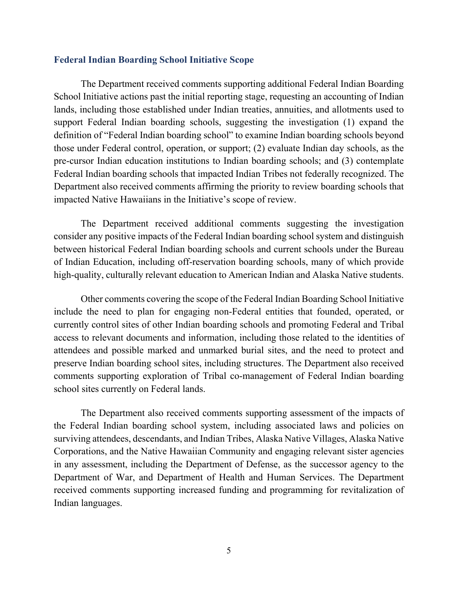#### **Federal Indian Boarding School Initiative Scope**

The Department received comments supporting additional Federal Indian Boarding School Initiative actions past the initial reporting stage, requesting an accounting of Indian lands, including those established under Indian treaties, annuities, and allotments used to support Federal Indian boarding schools, suggesting the investigation (1) expand the definition of "Federal Indian boarding school" to examine Indian boarding schools beyond those under Federal control, operation, or support; (2) evaluate Indian day schools, as the pre-cursor Indian education institutions to Indian boarding schools; and (3) contemplate Federal Indian boarding schools that impacted Indian Tribes not federally recognized. The Department also received comments affirming the priority to review boarding schools that impacted Native Hawaiians in the Initiative's scope of review.

The Department received additional comments suggesting the investigation consider any positive impacts of the Federal Indian boarding school system and distinguish between historical Federal Indian boarding schools and current schools under the Bureau of Indian Education, including off-reservation boarding schools, many of which provide high-quality, culturally relevant education to American Indian and Alaska Native students.

Other comments covering the scope of the Federal Indian Boarding School Initiative include the need to plan for engaging non-Federal entities that founded, operated, or currently control sites of other Indian boarding schools and promoting Federal and Tribal access to relevant documents and information, including those related to the identities of attendees and possible marked and unmarked burial sites, and the need to protect and preserve Indian boarding school sites, including structures. The Department also received comments supporting exploration of Tribal co-management of Federal Indian boarding school sites currently on Federal lands.

The Department also received comments supporting assessment of the impacts of the Federal Indian boarding school system, including associated laws and policies on surviving attendees, descendants, and Indian Tribes, Alaska Native Villages, Alaska Native Corporations, and the Native Hawaiian Community and engaging relevant sister agencies in any assessment, including the Department of Defense, as the successor agency to the Department of War, and Department of Health and Human Services. The Department received comments supporting increased funding and programming for revitalization of Indian languages.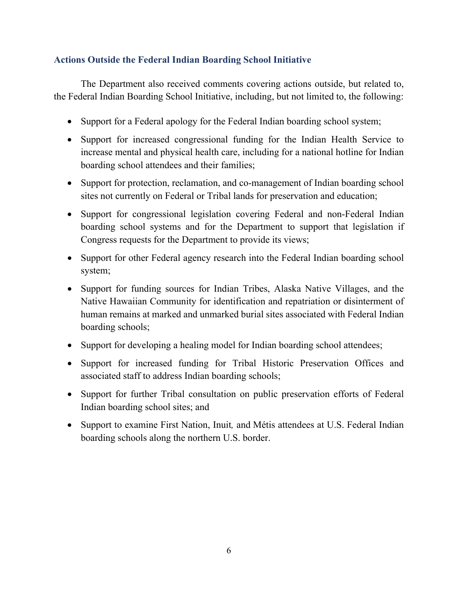## **Actions Outside the Federal Indian Boarding School Initiative**

The Department also received comments covering actions outside, but related to, the Federal Indian Boarding School Initiative, including, but not limited to, the following:

- Support for a Federal apology for the Federal Indian boarding school system;
- Support for increased congressional funding for the Indian Health Service to increase mental and physical health care, including for a national hotline for Indian boarding school attendees and their families;
- Support for protection, reclamation, and co-management of Indian boarding school sites not currently on Federal or Tribal lands for preservation and education;
- Support for congressional legislation covering Federal and non-Federal Indian boarding school systems and for the Department to support that legislation if Congress requests for the Department to provide its views;
- Support for other Federal agency research into the Federal Indian boarding school system;
- Support for funding sources for Indian Tribes, Alaska Native Villages, and the Native Hawaiian Community for identification and repatriation or disinterment of human remains at marked and unmarked burial sites associated with Federal Indian boarding schools;
- Support for developing a healing model for Indian boarding school attendees;
- Support for increased funding for Tribal Historic Preservation Offices and associated staff to address Indian boarding schools;
- Support for further Tribal consultation on public preservation efforts of Federal Indian boarding school sites; and
- Support to examine First Nation, Inuit*,* and Métis attendees at U.S. Federal Indian boarding schools along the northern U.S. border.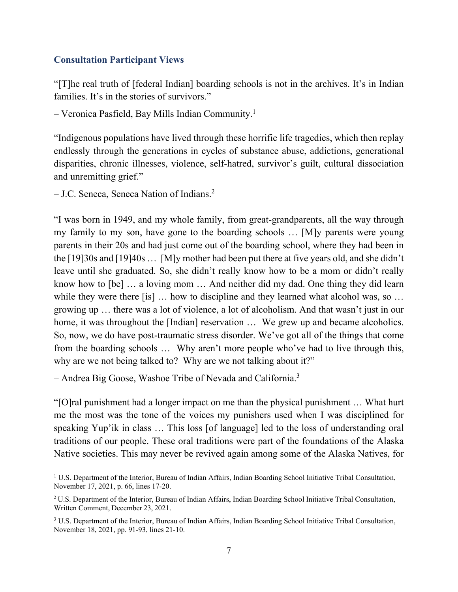### **Consultation Participant Views**

"[T]he real truth of [federal Indian] boarding schools is not in the archives. It's in Indian families. It's in the stories of survivors."

 $-$  Veronica Pasfield, Bay Mills Indian Community.<sup>1</sup>

"Indigenous populations have lived through these horrific life tragedies, which then replay endlessly through the generations in cycles of substance abuse, addictions, generational disparities, chronic illnesses, violence, self-hatred, survivor's guilt, cultural dissociation and unremitting grief."

– J.C. Seneca, Seneca Nation of Indians.2

"I was born in 1949, and my whole family, from great-grandparents, all the way through my family to my son, have gone to the boarding schools … [M]y parents were young parents in their 20s and had just come out of the boarding school, where they had been in the [19]30s and [19]40s … [M]y mother had been put there at five years old, and she didn't leave until she graduated. So, she didn't really know how to be a mom or didn't really know how to [be] … a loving mom … And neither did my dad. One thing they did learn while they were there [is] ... how to discipline and they learned what alcohol was, so ... growing up … there was a lot of violence, a lot of alcoholism. And that wasn't just in our home, it was throughout the [Indian] reservation ... We grew up and became alcoholics. So, now, we do have post-traumatic stress disorder. We've got all of the things that come from the boarding schools … Why aren't more people who've had to live through this, why are we not being talked to? Why are we not talking about it?"

– Andrea Big Goose, Washoe Tribe of Nevada and California.<sup>3</sup>

"[O]ral punishment had a longer impact on me than the physical punishment … What hurt me the most was the tone of the voices my punishers used when I was disciplined for speaking Yup'ik in class … This loss [of language] led to the loss of understanding oral traditions of our people. These oral traditions were part of the foundations of the Alaska Native societies. This may never be revived again among some of the Alaska Natives, for

<sup>&</sup>lt;sup>1</sup> U.S. Department of the Interior, Bureau of Indian Affairs, Indian Boarding School Initiative Tribal Consultation, November 17, 2021, p. 66, lines 17-20.

<sup>2</sup> U.S. Department of the Interior, Bureau of Indian Affairs, Indian Boarding School Initiative Tribal Consultation, Written Comment, December 23, 2021.

<sup>3</sup> U.S. Department of the Interior, Bureau of Indian Affairs, Indian Boarding School Initiative Tribal Consultation, November 18, 2021, pp. 91-93, lines 21-10.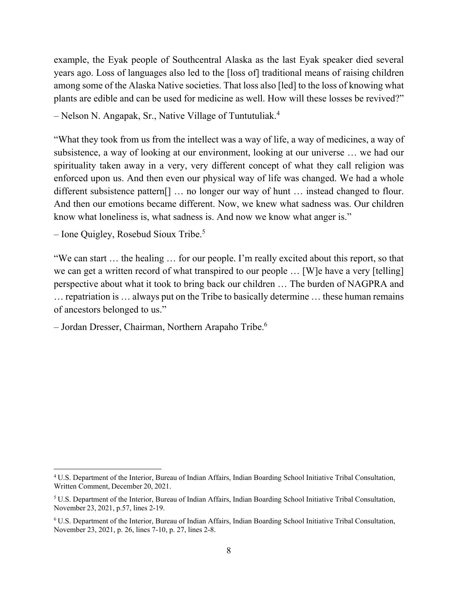example, the Eyak people of Southcentral Alaska as the last Eyak speaker died several years ago. Loss of languages also led to the [loss of] traditional means of raising children among some of the Alaska Native societies. That loss also [led] to the loss of knowing what plants are edible and can be used for medicine as well. How will these losses be revived?"

– Nelson N. Angapak, Sr., Native Village of Tuntutuliak.4

"What they took from us from the intellect was a way of life, a way of medicines, a way of subsistence, a way of looking at our environment, looking at our universe … we had our spirituality taken away in a very, very different concept of what they call religion was enforced upon us. And then even our physical way of life was changed. We had a whole different subsistence pattern[] … no longer our way of hunt … instead changed to flour. And then our emotions became different. Now, we knew what sadness was. Our children know what loneliness is, what sadness is. And now we know what anger is."

 $-$  Ione Quigley, Rosebud Sioux Tribe.<sup>5</sup>

"We can start … the healing … for our people. I'm really excited about this report, so that we can get a written record of what transpired to our people … [W]e have a very [telling] perspective about what it took to bring back our children … The burden of NAGPRA and … repatriation is … always put on the Tribe to basically determine … these human remains of ancestors belonged to us."

– Jordan Dresser, Chairman, Northern Arapaho Tribe.6

<sup>4</sup> U.S. Department of the Interior, Bureau of Indian Affairs, Indian Boarding School Initiative Tribal Consultation, Written Comment, December 20, 2021.

<sup>5</sup> U.S. Department of the Interior, Bureau of Indian Affairs, Indian Boarding School Initiative Tribal Consultation, November 23, 2021, p.57, lines 2-19.

<sup>6</sup> U.S. Department of the Interior, Bureau of Indian Affairs, Indian Boarding School Initiative Tribal Consultation, November 23, 2021, p. 26, lines 7-10, p. 27, lines 2-8.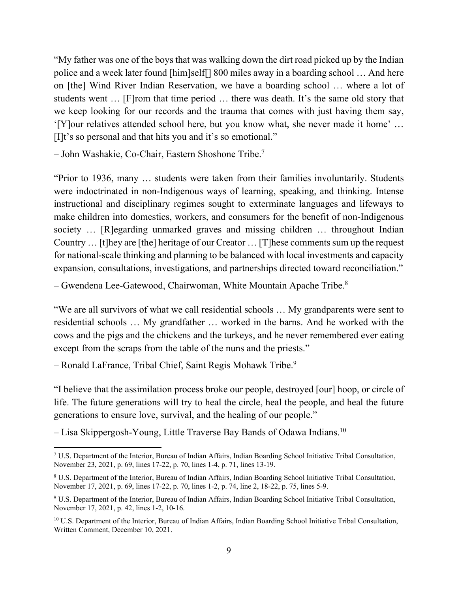"My father was one of the boys that was walking down the dirt road picked up by the Indian police and a week later found [him]self[] 800 miles away in a boarding school … And here on [the] Wind River Indian Reservation, we have a boarding school … where a lot of students went … [F]rom that time period … there was death. It's the same old story that we keep looking for our records and the trauma that comes with just having them say, '[Y]our relatives attended school here, but you know what, she never made it home' … [I]t's so personal and that hits you and it's so emotional."

– John Washakie, Co-Chair, Eastern Shoshone Tribe.7

"Prior to 1936, many … students were taken from their families involuntarily. Students were indoctrinated in non-Indigenous ways of learning, speaking, and thinking. Intense instructional and disciplinary regimes sought to exterminate languages and lifeways to make children into domestics, workers, and consumers for the benefit of non-Indigenous society … [R]egarding unmarked graves and missing children … throughout Indian Country … [t]hey are [the] heritage of our Creator … [T]hese comments sum up the request for national-scale thinking and planning to be balanced with local investments and capacity expansion, consultations, investigations, and partnerships directed toward reconciliation."

– Gwendena Lee-Gatewood, Chairwoman, White Mountain Apache Tribe. $8$ 

"We are all survivors of what we call residential schools … My grandparents were sent to residential schools … My grandfather … worked in the barns. And he worked with the cows and the pigs and the chickens and the turkeys, and he never remembered ever eating except from the scraps from the table of the nuns and the priests."

– Ronald LaFrance, Tribal Chief, Saint Regis Mohawk Tribe.9

"I believe that the assimilation process broke our people, destroyed [our] hoop, or circle of life. The future generations will try to heal the circle, heal the people, and heal the future generations to ensure love, survival, and the healing of our people."

– Lisa Skippergosh-Young, Little Traverse Bay Bands of Odawa Indians.<sup>10</sup>

<sup>7</sup> U.S. Department of the Interior, Bureau of Indian Affairs, Indian Boarding School Initiative Tribal Consultation, November 23, 2021, p. 69, lines 17-22, p. 70, lines 1-4, p. 71, lines 13-19.

<sup>&</sup>lt;sup>8</sup> U.S. Department of the Interior, Bureau of Indian Affairs, Indian Boarding School Initiative Tribal Consultation, November 17, 2021, p. 69, lines 17-22, p. 70, lines 1-2, p. 74, line 2, 18-22, p. 75, lines 5-9.

<sup>9</sup> U.S. Department of the Interior, Bureau of Indian Affairs, Indian Boarding School Initiative Tribal Consultation, November 17, 2021, p. 42, lines 1-2, 10-16.

<sup>&</sup>lt;sup>10</sup> U.S. Department of the Interior, Bureau of Indian Affairs, Indian Boarding School Initiative Tribal Consultation, Written Comment, December 10, 2021.